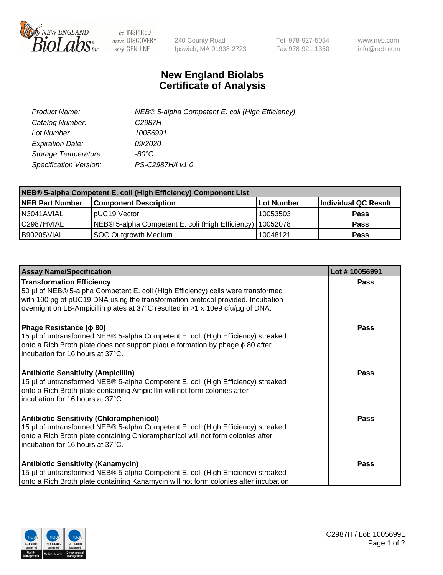

 $be$  INSPIRED drive DISCOVERY stay GENUINE

240 County Road Ipswich, MA 01938-2723 Tel 978-927-5054 Fax 978-921-1350 www.neb.com info@neb.com

## **New England Biolabs Certificate of Analysis**

| Product Name:           | NEB® 5-alpha Competent E. coli (High Efficiency) |
|-------------------------|--------------------------------------------------|
| Catalog Number:         | C <sub>2987</sub> H                              |
| Lot Number:             | 10056991                                         |
| <b>Expiration Date:</b> | <i>09/2020</i>                                   |
| Storage Temperature:    | -80°C                                            |
| Specification Version:  | PS-C2987H/I v1.0                                 |

| NEB® 5-alpha Competent E. coli (High Efficiency) Component List |                                                  |            |                      |  |
|-----------------------------------------------------------------|--------------------------------------------------|------------|----------------------|--|
| <b>NEB Part Number</b>                                          | <b>Component Description</b>                     | Lot Number | Individual QC Result |  |
| N3041AVIAL                                                      | pUC19 Vector                                     | 10053503   | <b>Pass</b>          |  |
| C2987HVIAL                                                      | NEB® 5-alpha Competent E. coli (High Efficiency) | 10052078   | <b>Pass</b>          |  |
| B9020SVIAL                                                      | SOC Outgrowth Medium                             | 10048121   | <b>Pass</b>          |  |

| <b>Assay Name/Specification</b>                                                                                                                                                                                                                                                           | Lot #10056991 |
|-------------------------------------------------------------------------------------------------------------------------------------------------------------------------------------------------------------------------------------------------------------------------------------------|---------------|
| <b>Transformation Efficiency</b><br>50 µl of NEB® 5-alpha Competent E. coli (High Efficiency) cells were transformed<br>with 100 pg of pUC19 DNA using the transformation protocol provided. Incubation<br>overnight on LB-Ampicillin plates at 37°C resulted in >1 x 10e9 cfu/µg of DNA. | Pass          |
| Phage Resistance ( $\phi$ 80)<br>15 µl of untransformed NEB® 5-alpha Competent E. coli (High Efficiency) streaked<br>onto a Rich Broth plate does not support plaque formation by phage $\phi$ 80 after<br>incubation for 16 hours at 37°C.                                               | <b>Pass</b>   |
| <b>Antibiotic Sensitivity (Ampicillin)</b><br>15 µl of untransformed NEB® 5-alpha Competent E. coli (High Efficiency) streaked<br>onto a Rich Broth plate containing Ampicillin will not form colonies after<br>incubation for 16 hours at 37°C.                                          | <b>Pass</b>   |
| <b>Antibiotic Sensitivity (Chloramphenicol)</b><br>15 µl of untransformed NEB® 5-alpha Competent E. coli (High Efficiency) streaked<br>onto a Rich Broth plate containing Chloramphenicol will not form colonies after<br>incubation for 16 hours at 37°C.                                | Pass          |
| <b>Antibiotic Sensitivity (Kanamycin)</b><br>15 µl of untransformed NEB® 5-alpha Competent E. coli (High Efficiency) streaked<br>onto a Rich Broth plate containing Kanamycin will not form colonies after incubation                                                                     | <b>Pass</b>   |